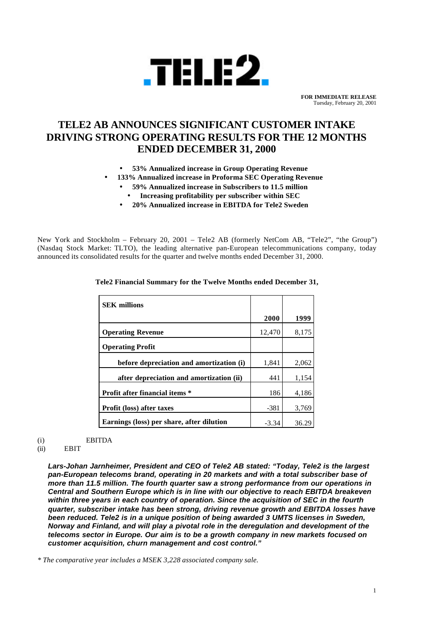

**FOR IMMEDIATE RELEASE** Tuesday, February 20, 2001

# **TELE2 AB ANNOUNCES SIGNIFICANT CUSTOMER INTAKE DRIVING STRONG OPERATING RESULTS FOR THE 12 MONTHS ENDED DECEMBER 31, 2000**

- **53% Annualized increase in Group Operating Revenue**
- **133% Annualized increase in Proforma SEC Operating Revenue**
	- **59% Annualized increase in Subscribers to 11.5 million**
	- **Increasing profitability per subscriber within SEC**
	- **20% Annualized increase in EBITDA for Tele2 Sweden**

New York and Stockholm – February 20, 2001 – Tele2 AB (formerly NetCom AB, "Tele2", "the Group") (Nasdaq Stock Market: TLTO), the leading alternative pan-European telecommunications company, today announced its consolidated results for the quarter and twelve months ended December 31, 2000.

| <b>SEK</b> millions                       |         |       |
|-------------------------------------------|---------|-------|
|                                           | 2000    | 1999  |
| <b>Operating Revenue</b>                  | 12,470  | 8,175 |
| <b>Operating Profit</b>                   |         |       |
| before depreciation and amortization (i)  | 1,841   | 2,062 |
| after depreciation and amortization (ii)  | 441     | 1,154 |
| <b>Profit after financial items *</b>     | 186     | 4,186 |
| <b>Profit (loss) after taxes</b>          | $-381$  | 3,769 |
| Earnings (loss) per share, after dilution | $-3.34$ | 36.29 |

**Tele2 Financial Summary for the Twelve Months ended December 31,**

(i) EBITDA

# (ii) EBIT

*Lars-Johan Jarnheimer, President and CEO of Tele2 AB stated: "Today, Tele2 is the largest pan-European telecoms brand, operating in 20 markets and with a total subscriber base of more than 11.5 million. The fourth quarter saw a strong performance from our operations in Central and Southern Europe which is in line with our objective to reach EBITDA breakeven within three years in each country of operation. Since the acquisition of SEC in the fourth quarter, subscriber intake has been strong, driving revenue growth and EBITDA losses have been reduced. Tele2 is in a unique position of being awarded 3 UMTS licenses in Sweden, Norway and Finland, and will play a pivotal role in the deregulation and development of the telecoms sector in Europe. Our aim is to be a growth company in new markets focused on customer acquisition, churn management and cost control."*

*\* The comparative year includes a MSEK 3,228 associated company sale.*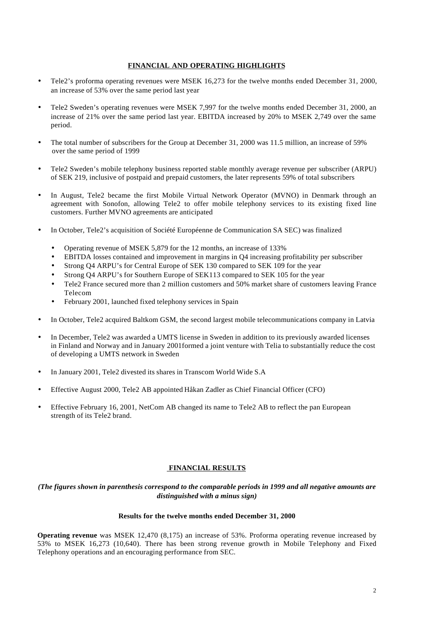## **FINANCIAL AND OPERATING HIGHLIGHTS**

- Tele2's proforma operating revenues were MSEK 16,273 for the twelve months ended December 31, 2000, an increase of 53% over the same period last year
- Tele2 Sweden's operating revenues were MSEK 7,997 for the twelve months ended December 31, 2000, an increase of 21% over the same period last year. EBITDA increased by 20% to MSEK 2,749 over the same period.
- The total number of subscribers for the Group at December 31, 2000 was 11.5 million, an increase of 59% over the same period of 1999
- Tele2 Sweden's mobile telephony business reported stable monthly average revenue per subscriber (ARPU) of SEK 219, inclusive of postpaid and prepaid customers, the later represents 59% of total subscribers
- In August, Tele2 became the first Mobile Virtual Network Operator (MVNO) in Denmark through an agreement with Sonofon, allowing Tele2 to offer mobile telephony services to its existing fixed line customers. Further MVNO agreements are anticipated
- In October, Tele2's acquisition of Société Européenne de Communication SA SEC) was finalized
	- Operating revenue of MSEK 5,879 for the 12 months, an increase of 133%
	- EBITDA losses contained and improvement in margins in Q4 increasing profitability per subscriber
	- Strong Q4 ARPU's for Central Europe of SEK 130 compared to SEK 109 for the year
	- Strong Q4 ARPU's for Southern Europe of SEK113 compared to SEK 105 for the year
	- Tele2 France secured more than 2 million customers and 50% market share of customers leaving France Telecom
	- February 2001, launched fixed telephony services in Spain
- In October, Tele2 acquired Baltkom GSM, the second largest mobile telecommunications company in Latvia
- In December, Tele2 was awarded a UMTS license in Sweden in addition to its previously awarded licenses in Finland and Norway and in January 2001formed a joint venture with Telia to substantially reduce the cost of developing a UMTS network in Sweden
- In January 2001, Tele2 divested its shares in Transcom World Wide S.A
- Effective August 2000, Tele2 AB appointed Håkan Zadler as Chief Financial Officer (CFO)
- Effective February 16, 2001, NetCom AB changed its name to Tele2 AB to reflect the pan European strength of its Tele2 brand.

#### **FINANCIAL RESULTS**

*(The figures shown in parenthesis correspond to the comparable periods in 1999 and all negative amounts are distinguished with a minus sign)*

#### **Results for the twelve months ended December 31, 2000**

**Operating revenue** was MSEK 12,470 (8,175) an increase of 53%. Proforma operating revenue increased by 53% to MSEK 16,273 (10,640). There has been strong revenue growth in Mobile Telephony and Fixed Telephony operations and an encouraging performance from SEC.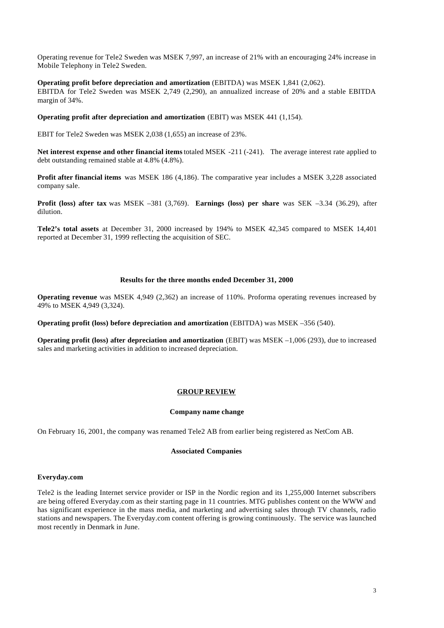Operating revenue for Tele2 Sweden was MSEK 7,997, an increase of 21% with an encouraging 24% increase in Mobile Telephony in Tele2 Sweden.

#### **Operating profit before depreciation and amortization** (EBITDA) was MSEK 1,841 (2,062).

EBITDA for Tele2 Sweden was MSEK 2,749 (2,290), an annualized increase of 20% and a stable EBITDA margin of 34%.

#### **Operating profit after depreciation and amortization** (EBIT) was MSEK 441 (1,154).

EBIT for Tele2 Sweden was MSEK 2,038 (1,655) an increase of 23%.

**Net interest expense and other financial items** totaled MSEK -211 (-241). The average interest rate applied to debt outstanding remained stable at 4.8% (4.8%).

**Profit after financial items** was MSEK 186 (4,186). The comparative year includes a MSEK 3,228 associated company sale.

**Profit (loss) after tax** was MSEK –381 (3,769). **Earnings (loss) per share** was SEK –3.34 (36.29), after dilution.

**Tele2's total assets** at December 31, 2000 increased by 194% to MSEK 42,345 compared to MSEK 14,401 reported at December 31, 1999 reflecting the acquisition of SEC.

#### **Results for the three months ended December 31, 2000**

**Operating revenue** was MSEK 4,949 (2,362) an increase of 110%. Proforma operating revenues increased by 49% to MSEK 4,949 (3,324).

**Operating profit (loss) before depreciation and amortization** (EBITDA) was MSEK –356 (540).

**Operating profit (loss) after depreciation and amortization** (EBIT) was MSEK –1,006 (293), due to increased sales and marketing activities in addition to increased depreciation.

# **GROUP REVIEW**

#### **Company name change**

On February 16, 2001, the company was renamed Tele2 AB from earlier being registered as NetCom AB.

#### **Associated Companies**

#### **Everyday.com**

Tele2 is the leading Internet service provider or ISP in the Nordic region and its 1,255,000 Internet subscribers are being offered Everyday.com as their starting page in 11 countries. MTG publishes content on the WWW and has significant experience in the mass media, and marketing and advertising sales through TV channels, radio stations and newspapers. The Everyday.com content offering is growing continuously. The service was launched most recently in Denmark in June.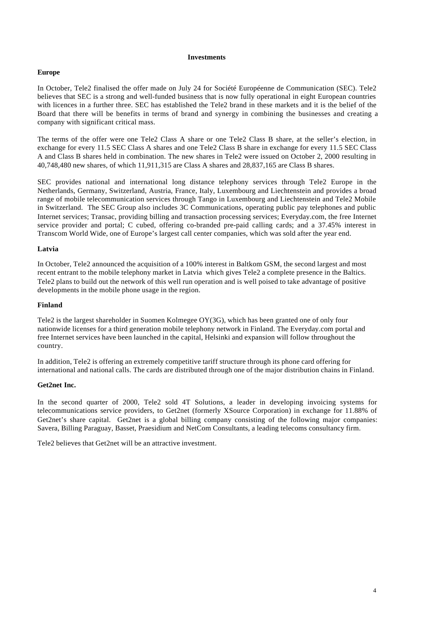#### **Investments**

# **Europe**

In October, Tele2 finalised the offer made on July 24 for Société Européenne de Communication (SEC). Tele2 believes that SEC is a strong and well-funded business that is now fully operational in eight European countries with licences in a further three. SEC has established the Tele2 brand in these markets and it is the belief of the Board that there will be benefits in terms of brand and synergy in combining the businesses and creating a company with significant critical mass.

The terms of the offer were one Tele2 Class A share or one Tele2 Class B share, at the seller's election, in exchange for every 11.5 SEC Class A shares and one Tele2 Class B share in exchange for every 11.5 SEC Class A and Class B shares held in combination. The new shares in Tele2 were issued on October 2, 2000 resulting in 40,748,480 new shares, of which 11,911,315 are Class A shares and 28,837,165 are Class B shares.

SEC provides national and international long distance telephony services through Tele2 Europe in the Netherlands, Germany, Switzerland, Austria, France, Italy, Luxembourg and Liechtenstein and provides a broad range of mobile telecommunication services through Tango in Luxembourg and Liechtenstein and Tele2 Mobile in Switzerland. The SEC Group also includes 3C Communications, operating public pay telephones and public Internet services; Transac, providing billing and transaction processing services; Everyday.com, the free Internet service provider and portal; C cubed, offering co-branded pre-paid calling cards; and a 37.45% interest in Transcom World Wide, one of Europe's largest call center companies, which was sold after the year end.

# **Latvia**

In October, Tele2 announced the acquisition of a 100% interest in Baltkom GSM, the second largest and most recent entrant to the mobile telephony market in Latvia which gives Tele2 a complete presence in the Baltics. Tele2 plans to build out the network of this well run operation and is well poised to take advantage of positive developments in the mobile phone usage in the region.

#### **Finland**

Tele2 is the largest shareholder in Suomen Kolmegee OY(3G), which has been granted one of only four nationwide licenses for a third generation mobile telephony network in Finland. The Everyday.com portal and free Internet services have been launched in the capital, Helsinki and expansion will follow throughout the country.

In addition, Tele2 is offering an extremely competitive tariff structure through its phone card offering for international and national calls. The cards are distributed through one of the major distribution chains in Finland.

# **Get2net Inc.**

In the second quarter of 2000, Tele2 sold 4T Solutions, a leader in developing invoicing systems for telecommunications service providers, to Get2net (formerly XSource Corporation) in exchange for 11.88% of Get2net's share capital. Get2net is a global billing company consisting of the following major companies: Savera, Billing Paraguay, Basset, Praesidium and NetCom Consultants, a leading telecoms consultancy firm.

Tele2 believes that Get2net will be an attractive investment.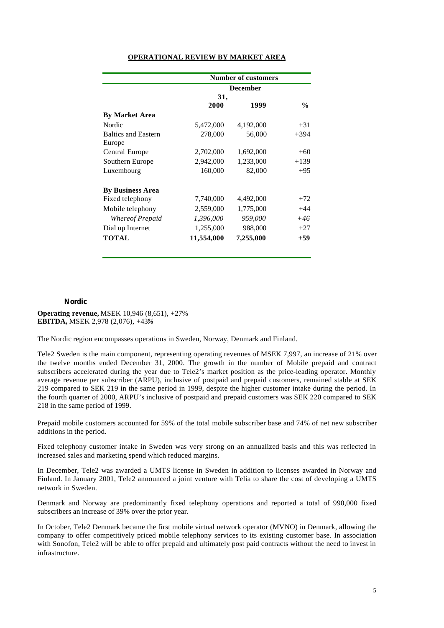|                            |            | <b>Number of customers</b> |               |
|----------------------------|------------|----------------------------|---------------|
|                            |            | <b>December</b>            |               |
|                            | 31,        |                            |               |
|                            | 2000       | 1999                       | $\frac{0}{0}$ |
| <b>By Market Area</b>      |            |                            |               |
| Nordic                     | 5,472,000  | 4,192,000                  | $+31$         |
| <b>Baltics and Eastern</b> | 278,000    | 56,000                     | $+394$        |
| Europe                     |            |                            |               |
| Central Europe             | 2,702,000  | 1,692,000                  | $+60$         |
| Southern Europe            | 2,942,000  | 1,233,000                  | $+139$        |
| Luxembourg                 | 160,000    | 82,000                     | $+95$         |
| <b>By Business Area</b>    |            |                            |               |
| Fixed telephony            | 7,740,000  | 4,492,000                  | $+72$         |
| Mobile telephony           | 2,559,000  | 1,775,000                  | $+44$         |
| Whereof Prepaid            | 1,396,000  | 959,000                    | $+46$         |
| Dial up Internet           | 1,255,000  | 988,000                    | $+27$         |
| <b>TOTAL</b>               | 11,554,000 | 7,255,000                  | $+59$         |

# **OPERATIONAL REVIEW BY MARKET AREA**

#### **Nordic**

**Operating revenue,** MSEK 10,946 (8,651), +27% **EBITDA,** MSEK 2,978 (2,076), +43*%*

The Nordic region encompasses operations in Sweden, Norway, Denmark and Finland.

Tele2 Sweden is the main component, representing operating revenues of MSEK 7,997, an increase of 21% over the twelve months ended December 31, 2000. The growth in the number of Mobile prepaid and contract subscribers accelerated during the year due to Tele2's market position as the price-leading operator. Monthly average revenue per subscriber (ARPU), inclusive of postpaid and prepaid customers, remained stable at SEK 219 compared to SEK 219 in the same period in 1999, despite the higher customer intake during the period. In the fourth quarter of 2000, ARPU's inclusive of postpaid and prepaid customers was SEK 220 compared to SEK 218 in the same period of 1999.

Prepaid mobile customers accounted for 59% of the total mobile subscriber base and 74% of net new subscriber additions in the period.

Fixed telephony customer intake in Sweden was very strong on an annualized basis and this was reflected in increased sales and marketing spend which reduced margins.

In December, Tele2 was awarded a UMTS license in Sweden in addition to licenses awarded in Norway and Finland. In January 2001, Tele2 announced a joint venture with Telia to share the cost of developing a UMTS network in Sweden.

Denmark and Norway are predominantly fixed telephony operations and reported a total of 990,000 fixed subscribers an increase of 39% over the prior year.

In October, Tele2 Denmark became the first mobile virtual network operator (MVNO) in Denmark, allowing the company to offer competitively priced mobile telephony services to its existing customer base. In association with Sonofon, Tele2 will be able to offer prepaid and ultimately post paid contracts without the need to invest in infrastructure.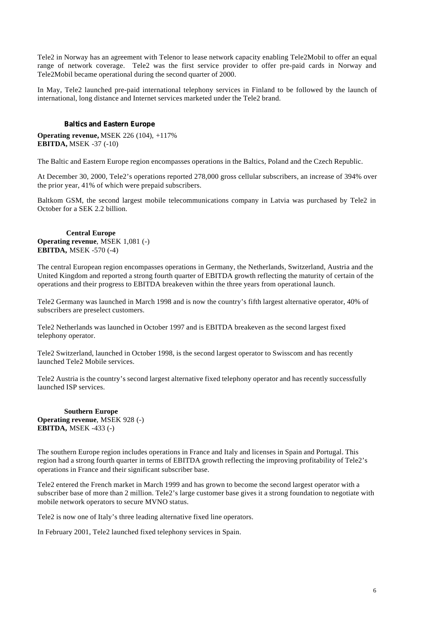Tele2 in Norway has an agreement with Telenor to lease network capacity enabling Tele2Mobil to offer an equal range of network coverage. Tele2 was the first service provider to offer pre-paid cards in Norway and Tele2Mobil became operational during the second quarter of 2000.

In May, Tele2 launched pre-paid international telephony services in Finland to be followed by the launch of international, long distance and Internet services marketed under the Tele2 brand.

## **Baltics and Eastern Europe**

**Operating revenue,** MSEK 226 (104), +117% **EBITDA,** MSEK -37 (-10)

The Baltic and Eastern Europe region encompasses operations in the Baltics, Poland and the Czech Republic.

At December 30, 2000, Tele2's operations reported 278,000 gross cellular subscribers, an increase of 394% over the prior year, 41% of which were prepaid subscribers.

Baltkom GSM, the second largest mobile telecommunications company in Latvia was purchased by Tele2 in October for a SEK 2.2 billion.

## **Central Europe Operating revenue**, MSEK 1,081 (-) **EBITDA,** MSEK -570 (-4)

The central European region encompasses operations in Germany, the Netherlands, Switzerland, Austria and the United Kingdom and reported a strong fourth quarter of EBITDA growth reflecting the maturity of certain of the operations and their progress to EBITDA breakeven within the three years from operational launch.

Tele2 Germany was launched in March 1998 and is now the country's fifth largest alternative operator, 40% of subscribers are preselect customers.

Tele2 Netherlands was launched in October 1997 and is EBITDA breakeven as the second largest fixed telephony operator.

Tele2 Switzerland, launched in October 1998, is the second largest operator to Swisscom and has recently launched Tele2 Mobile services.

Tele2 Austria is the country's second largest alternative fixed telephony operator and has recently successfully launched ISP services.

**Southern Europe Operating revenue**, MSEK 928 (-) **EBITDA,** MSEK -433 (-)

The southern Europe region includes operations in France and Italy and licenses in Spain and Portugal. This region had a strong fourth quarter in terms of EBITDA growth reflecting the improving profitability of Tele2's operations in France and their significant subscriber base.

Tele2 entered the French market in March 1999 and has grown to become the second largest operator with a subscriber base of more than 2 million. Tele2's large customer base gives it a strong foundation to negotiate with mobile network operators to secure MVNO status.

Tele2 is now one of Italy's three leading alternative fixed line operators.

In February 2001, Tele2 launched fixed telephony services in Spain.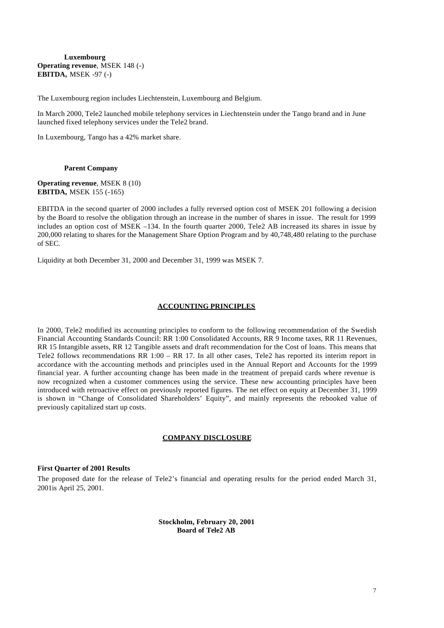## **Luxembourg Operating revenue**, MSEK 148 (-) **EBITDA,** MSEK -97 (-)

The Luxembourg region includes Liechtenstein, Luxembourg and Belgium.

In March 2000, Tele2 launched mobile telephony services in Liechtenstein under the Tango brand and in June launched fixed telephony services under the Tele2 brand.

In Luxembourg, Tango has a 42% market share.

## **Parent Company**

**Operating revenue**, MSEK 8 (10) **EBITDA,** MSEK 155 (-165)

EBITDA in the second quarter of 2000 includes a fully reversed option cost of MSEK 201 following a decision by the Board to resolve the obligation through an increase in the number of shares in issue. The result for 1999 includes an option cost of MSEK –134. In the fourth quarter 2000, Tele2 AB increased its shares in issue by 200,000 relating to shares for the Management Share Option Program and by 40,748,480 relating to the purchase of SEC.

Liquidity at both December 31, 2000 and December 31, 1999 was MSEK 7.

## **ACCOUNTING PRINCIPLES**

In 2000, Tele2 modified its accounting principles to conform to the following recommendation of the Swedish Financial Accounting Standards Council: RR 1:00 Consolidated Accounts, RR 9 Income taxes, RR 11 Revenues, RR 15 Intangible assets, RR 12 Tangible assets and draft recommendation for the Cost of loans. This means that Tele2 follows recommendations RR 1:00 – RR 17. In all other cases, Tele2 has reported its interim report in accordance with the accounting methods and principles used in the Annual Report and Accounts for the 1999 financial year. A further accounting change has been made in the treatment of prepaid cards where revenue is now recognized when a customer commences using the service. These new accounting principles have been introduced with retroactive effect on previously reported figures. The net effect on equity at December 31, 1999 is shown in "Change of Consolidated Shareholders' Equity", and mainly represents the rebooked value of previously capitalized start up costs.

## **COMPANY DISCLOSURE**

#### **First Quarter of 2001 Results**

The proposed date for the release of Tele2's financial and operating results for the period ended March 31, 2001is April 25, 2001.

> **Stockholm, February 20, 2001 Board of Tele2 AB**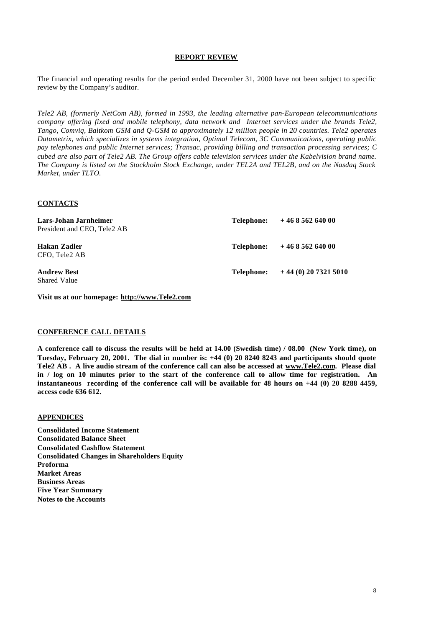## **REPORT REVIEW**

The financial and operating results for the period ended December 31, 2000 have not been subject to specific review by the Company's auditor.

*Tele2 AB, (formerly NetCom AB), formed in 1993, the leading alternative pan-European telecommunications company offering fixed and mobile telephony, data network and Internet services under the brands Tele2, Tango, Comviq, Baltkom GSM and Q-GSM to approximately 12 million people in 20 countries. Tele2 operates Datametrix, which specializes in systems integration, Optimal Telecom, 3C Communications, operating public pay telephones and public Internet services; Transac, providing billing and transaction processing services; C cubed are also part of Tele2 AB. The Group offers cable television services under the Kabelvision brand name. The Company is listed on the Stockholm Stock Exchange, under TEL2A and TEL2B, and on the Nasdaq Stock Market, under TLTO.*

## **CONTACTS**

| Lars-Johan Jarnheimer<br>President and CEO, Tele2 AB |            | Telephone: $+46856264000$ |
|------------------------------------------------------|------------|---------------------------|
| Hakan Zadler<br>CFO, Tele2 AB                        |            | Telephone: $+46856264000$ |
| <b>Andrew Best</b><br><b>Shared Value</b>            | Telephone: | $+44(0)$ 20 7321 5010     |

**Visit us at our homepage: http://www.Tele2.com**

## **CONFERENCE CALL DETAILS**

**A conference call to discuss the results will be held at 14.00 (Swedish time) / 08.00 (New York time), on Tuesday, February 20, 2001. The dial in number is: +44 (0) 20 8240 8243 and participants should quote Tele2 AB . A live audio stream of the conference call can also be accessed at www.Tele2.com. Please dial in / log on 10 minutes prior to the start of the conference call to allow time for registration. An instantaneous recording of the conference call will be available for 48 hours on +44 (0) 20 8288 4459, access code 636 612.**

#### **APPENDICES**

**Consolidated Income Statement Consolidated Balance Sheet Consolidated Cashflow Statement Consolidated Changes in Shareholders Equity Proforma Market Areas Business Areas Five Year Summary Notes to the Accounts**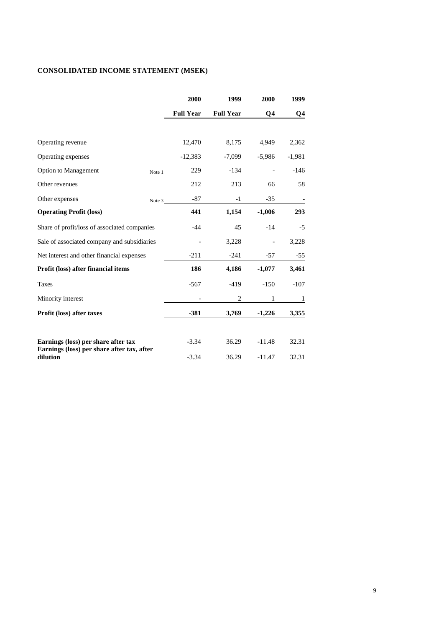# **CONSOLIDATED INCOME STATEMENT (MSEK)**

|                                                        | 2000             | 1999             | 2000     | 1999         |
|--------------------------------------------------------|------------------|------------------|----------|--------------|
|                                                        | <b>Full Year</b> | <b>Full Year</b> | Q4       | Q4           |
|                                                        |                  |                  |          |              |
| Operating revenue                                      | 12,470           | 8,175            | 4,949    | 2,362        |
| Operating expenses                                     | $-12,383$        | $-7,099$         | $-5,986$ | $-1,981$     |
| <b>Option to Management</b><br>Note 1                  | 229              | $-134$           |          | $-146$       |
| Other revenues                                         | 212              | 213              | 66       | 58           |
| Other expenses<br>Note 3                               | $-87$            | $-1$             | $-35$    |              |
| <b>Operating Profit (loss)</b>                         | 441              | 1,154            | $-1,006$ | 293          |
| Share of profit/loss of associated companies           | $-44$            | 45               | $-14$    | $-5$         |
| Sale of associated company and subsidiaries            |                  | 3,228            |          | 3,228        |
| Net interest and other financial expenses              | $-211$           | $-241$           | $-57$    | $-55$        |
| Profit (loss) after financial items                    | 186              | 4,186            | $-1,077$ | 3,461        |
| <b>Taxes</b>                                           | $-567$           | $-419$           | $-150$   | $-107$       |
| Minority interest                                      |                  | $\overline{c}$   | 1        | $\mathbf{1}$ |
| Profit (loss) after taxes                              | $-381$           | 3,769            | $-1,226$ | 3,355        |
| Earnings (loss) per share after tax                    | $-3.34$          | 36.29            | $-11.48$ | 32.31        |
| Earnings (loss) per share after tax, after<br>dilution | $-3.34$          | 36.29            | $-11.47$ | 32.31        |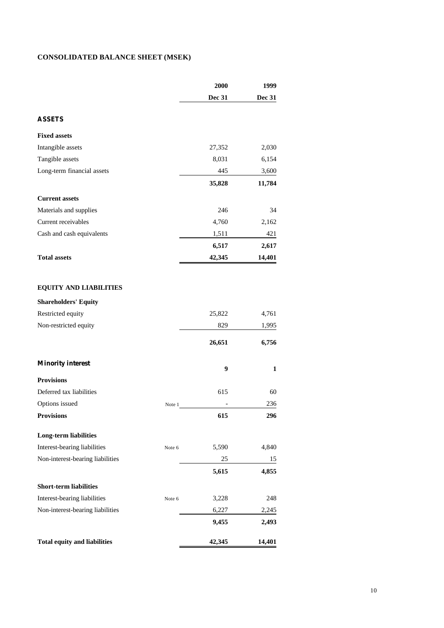# **CONSOLIDATED BALANCE SHEET (MSEK)**

|                                     |        | 2000          | 1999          |
|-------------------------------------|--------|---------------|---------------|
|                                     |        | <b>Dec 31</b> | <b>Dec 31</b> |
| <b>ASSETS</b>                       |        |               |               |
| <b>Fixed assets</b>                 |        |               |               |
| Intangible assets                   |        | 27,352        | 2,030         |
| Tangible assets                     |        | 8,031         | 6,154         |
| Long-term financial assets          |        | 445           | 3,600         |
|                                     |        | 35,828        | 11,784        |
| <b>Current assets</b>               |        |               |               |
| Materials and supplies              |        | 246           | 34            |
| Current receivables                 |        | 4,760         | 2,162         |
| Cash and cash equivalents           |        | 1,511         | 421           |
|                                     |        | 6,517         | 2,617         |
| <b>Total assets</b>                 |        | 42,345        | 14,401        |
|                                     |        |               |               |
| <b>EQUITY AND LIABILITIES</b>       |        |               |               |
| <b>Shareholders' Equity</b>         |        |               |               |
| Restricted equity                   |        | 25,822        | 4,761         |
| Non-restricted equity               |        | 829           | 1,995         |
|                                     |        | 26,651        | 6,756         |
| <b>Minority interest</b>            |        | 9             | 1             |
| <b>Provisions</b>                   |        |               |               |
| Deferred tax liabilities            |        | 615           | 60            |
| Options issued                      | Note 1 |               | 236           |
| <b>Provisions</b>                   |        | 615           | 296           |
| <b>Long-term liabilities</b>        |        |               |               |
| Interest-bearing liabilities        | Note 6 | 5,590         | 4,840         |
| Non-interest-bearing liabilities    |        | 25            | 15            |
|                                     |        | 5,615         | 4,855         |
| <b>Short-term liabilities</b>       |        |               |               |
| Interest-bearing liabilities        | Note 6 | 3,228         | 248           |
| Non-interest-bearing liabilities    |        | 6,227         | 2,245         |
|                                     |        | 9,455         | 2,493         |
| <b>Total equity and liabilities</b> |        | 42,345        | 14,401        |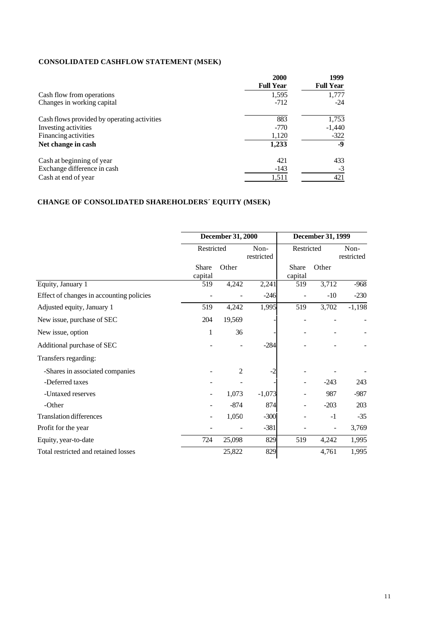# **CONSOLIDATED CASHFLOW STATEMENT (MSEK)**

|                                             | 2000<br><b>Full Year</b> | 1999<br><b>Full Year</b> |
|---------------------------------------------|--------------------------|--------------------------|
| Cash flow from operations                   | 1,595                    | 1,777                    |
| Changes in working capital                  | $-712$                   | $-24$                    |
| Cash flows provided by operating activities | 883                      | 1,753                    |
| Investing activities                        | $-770$                   | $-1,440$                 |
| Financing activities                        | 1,120                    | $-322$                   |
| Net change in cash                          | 1,233                    | -9                       |
| Cash at beginning of year                   | 421                      | 433                      |
| Exchange difference in cash                 | $-143$                   | $-3$                     |
| Cash at end of year                         | 1,511                    | 421                      |

# **CHANGE OF CONSOLIDATED SHAREHOLDERS´ EQUITY (MSEK)**

|                                          |                         | <b>December 31, 2000</b> |                    |                  | December 31, 1999 |                    |  |  |
|------------------------------------------|-------------------------|--------------------------|--------------------|------------------|-------------------|--------------------|--|--|
|                                          | Restricted              |                          | Non-<br>restricted | Restricted       |                   | Non-<br>restricted |  |  |
|                                          | <b>Share</b><br>capital | Other                    |                    | Share<br>capital | Other             |                    |  |  |
| Equity, January 1                        | 519                     | 4,242                    | 2,241              | 519              | 3,712             | $-968$             |  |  |
| Effect of changes in accounting policies |                         |                          | $-246$             |                  | $-10$             | $-230$             |  |  |
| Adjusted equity, January 1               | 519                     | 4,242                    | 1,995              | 519              | 3,702             | $-1,198$           |  |  |
| New issue, purchase of SEC               | 204                     | 19,569                   |                    |                  |                   |                    |  |  |
| New issue, option                        | 1                       | 36                       |                    |                  |                   |                    |  |  |
| Additional purchase of SEC               |                         |                          | $-284$             |                  |                   |                    |  |  |
| Transfers regarding:                     |                         |                          |                    |                  |                   |                    |  |  |
| -Shares in associated companies          |                         | $\overline{2}$           | $-2$               |                  |                   |                    |  |  |
| -Deferred taxes                          |                         |                          |                    |                  | $-243$            | 243                |  |  |
| -Untaxed reserves                        |                         | 1,073                    | $-1,073$           |                  | 987               | $-987$             |  |  |
| -Other                                   |                         | $-874$                   | 874                | -                | $-203$            | 203                |  |  |
| <b>Translation differences</b>           |                         | 1,050                    | $-300$             |                  | $-1$              | $-35$              |  |  |
| Profit for the year                      |                         |                          | $-381$             |                  |                   | 3,769              |  |  |
| Equity, year-to-date                     | 724                     | 25,098                   | 829                | 519              | 4,242             | 1,995              |  |  |
| Total restricted and retained losses     |                         | 25,822                   | 829                |                  | 4,761             | 1,995              |  |  |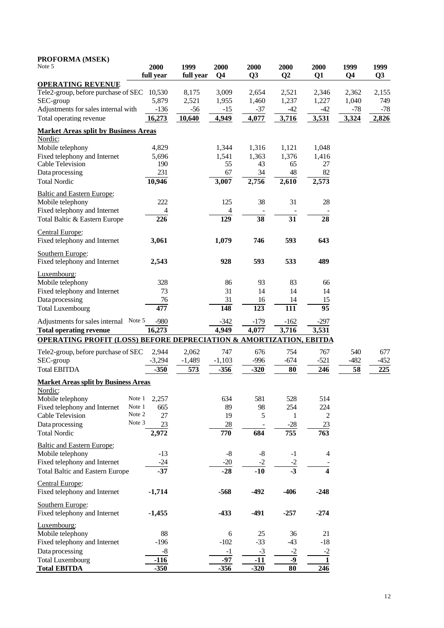| PROFORMA (MSEK)<br>Note 5                                                     | 2000<br>full year | 1999<br>full year | 2000<br>Q <sub>4</sub> | 2000<br>Q3       | 2000<br>Q <sub>2</sub> | 2000<br>Q1     | 1999<br>Q <sub>4</sub> | 1999<br>Q <sub>3</sub> |
|-------------------------------------------------------------------------------|-------------------|-------------------|------------------------|------------------|------------------------|----------------|------------------------|------------------------|
| <b>OPERATING REVENUE</b>                                                      |                   |                   |                        |                  |                        |                |                        |                        |
| Tele2-group, before purchase of SEC                                           | 10,530            | 8,175             | 3,009                  | 2,654            | 2,521                  | 2,346          | 2,362                  | 2,155                  |
| SEC-group                                                                     | 5,879             | 2,521             | 1,955                  | 1,460            | 1,237                  | 1,227          | 1,040                  | 749                    |
| Adjustments for sales internal with                                           | $-136$            | $-56$             | $-15$                  | $-37$            | $-42$                  | $-42$          | -78                    | $-78$                  |
| Total operating revenue                                                       | 16,273            | 10,640            | 4,949                  | 4,077            | 3,716                  | 3,531          | 3,324                  | 2,826                  |
| <b>Market Areas split by Business Areas</b><br>Nordic:                        |                   |                   |                        |                  |                        |                |                        |                        |
|                                                                               | 4,829             |                   | 1,344                  | 1,316            |                        | 1,048          |                        |                        |
| Mobile telephony                                                              |                   |                   |                        |                  | 1,121                  |                |                        |                        |
| Fixed telephony and Internet<br><b>Cable Television</b>                       | 5,696<br>190      |                   | 1,541<br>55            | 1,363<br>43      | 1,376<br>65            | 1,416<br>27    |                        |                        |
| Data processing                                                               | 231               |                   | 67                     | 34               | 48                     | 82             |                        |                        |
| <b>Total Nordic</b>                                                           | 10,946            |                   | 3,007                  | 2,756            | 2,610                  | 2,573          |                        |                        |
| <b>Baltic and Eastern Europe:</b>                                             |                   |                   |                        |                  |                        |                |                        |                        |
| Mobile telephony                                                              | 222               |                   | 125                    | 38               | 31                     | 28             |                        |                        |
| Fixed telephony and Internet                                                  | 4                 |                   | 4                      |                  |                        |                |                        |                        |
| Total Baltic & Eastern Europe                                                 | 226               |                   | 129                    | $\overline{38}$  | 31                     | 28             |                        |                        |
| Central Europe:                                                               |                   |                   |                        |                  |                        |                |                        |                        |
| Fixed telephony and Internet                                                  | 3,061             |                   | 1,079                  | 746              | 593                    | 643            |                        |                        |
| Southern Europe:<br>Fixed telephony and Internet                              | 2,543             |                   | 928                    | 593              | 533                    | 489            |                        |                        |
| Luxembourg:                                                                   |                   |                   |                        |                  |                        |                |                        |                        |
| Mobile telephony                                                              | 328               |                   | 86                     | 93               | 83                     | 66             |                        |                        |
| Fixed telephony and Internet                                                  | 73                |                   | 31                     | 14               | 14                     | 14             |                        |                        |
| Data processing                                                               | 76                |                   | 31                     | 16               | 14                     | 15             |                        |                        |
| <b>Total Luxembourg</b>                                                       | 477               |                   | 148                    | $\overline{123}$ | $\overline{111}$       | 95             |                        |                        |
| Adjustments for sales internal Note 5                                         | $-980$            |                   | $-342$                 | $-179$           | $-162$                 | $-297$         |                        |                        |
| <b>Total operating revenue</b>                                                | 16,273            |                   | 4,949                  | 4,077            | 3,716                  | 3,531          |                        |                        |
| <b>OPERATING PROFIT (LOSS) BEFORE DEPRECIATION &amp; AMORTIZATION, EBITDA</b> |                   |                   |                        |                  |                        |                |                        |                        |
| Tele2-group, before purchase of SEC                                           | 2,944             | 2,062             | 747                    | 676              | 754                    | 767            | 540                    | 677                    |
| SEC-group                                                                     | $-3,294$          | $-1,489$          | $-1,103$               | $-996$           | $-674$                 | $-521$         | $-482$                 | $-452$                 |
| <b>Total EBITDA</b>                                                           | $-350$            | 573               | $-356$                 | $-320$           | 80                     | 246            | 58                     | 225                    |
| <b>Market Areas split by Business Areas</b>                                   |                   |                   |                        |                  |                        |                |                        |                        |
| <u>Nordic:</u><br>Mobile telephony                                            | Note 1<br>2,257   |                   | 634                    | 581              | 528                    | 514            |                        |                        |
| Fixed telephony and Internet                                                  | Note 1<br>665     |                   | 89                     | 98               | 254                    | 224            |                        |                        |
| Cable Television                                                              | Note 2<br>27      |                   | 19                     | $\mathfrak s$    | 1                      | $\overline{c}$ |                        |                        |
| Data processing                                                               | Note 3<br>23      |                   | $28\,$                 |                  | $-28$                  | $23\,$         |                        |                        |
| <b>Total Nordic</b>                                                           | 2,972             |                   | 770                    | 684              | 755                    | 763            |                        |                        |
| <b>Baltic and Eastern Europe:</b>                                             |                   |                   |                        |                  |                        |                |                        |                        |
| Mobile telephony                                                              | $-13$             |                   | $\text{-}8$            | $\mbox{-}8$      | $-1$                   | 4              |                        |                        |
| Fixed telephony and Internet                                                  | $-24$             |                   | $-20$                  | $-2$             |                        |                |                        |                        |
| <b>Total Baltic and Eastern Europe</b>                                        | $-37$             |                   | $-28$                  | $-10$            | $\frac{-2}{-3}$        | 4              |                        |                        |
| Central Europe:<br>Fixed telephony and Internet                               | $-1,714$          |                   | $-568$                 | $-492$           | $-406$                 | $-248$         |                        |                        |
| Southern Europe:                                                              |                   |                   |                        |                  |                        |                |                        |                        |
| Fixed telephony and Internet                                                  | $-1,455$          |                   | $-433$                 | $-491$           | $-257$                 | $-274$         |                        |                        |
| Luxembourg:                                                                   |                   |                   |                        |                  |                        |                |                        |                        |
| Mobile telephony                                                              | 88                |                   | $\boldsymbol{6}$       | 25               | 36                     | 21             |                        |                        |
| Fixed telephony and Internet                                                  | $-196$            |                   | $-102$                 | $-33$            | $-43$                  | $-18$          |                        |                        |
| Data processing                                                               | $-8$              |                   | $-1$                   | $-3$             | $-2$                   | $-2$           |                        |                        |
| <b>Total Luxembourg</b>                                                       | $-116$            |                   | $-97$                  | $-11$            | $-9$                   | 1              |                        |                        |
| <b>Total EBITDA</b>                                                           | $-350$            |                   | $-356$                 | $-320$           | $\overline{\bf 80}$    | 246            |                        |                        |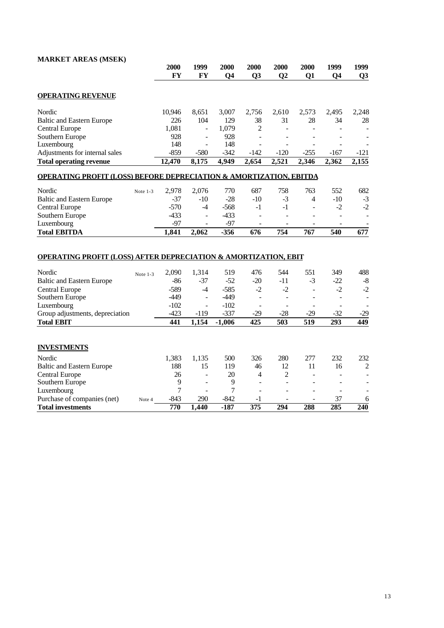# **MARKET AREAS (MSEK)**

|                                                                                                                                                                             |          | 2000<br><b>FY</b>                            | 1999<br><b>FY</b>                                            | 2000<br>Q <sub>4</sub>                     | 2000<br>Q <sub>3</sub>                           | 2000<br>Q <sub>2</sub>                           | 2000<br>Q1       | 1999<br>Q <sub>4</sub>                           | 1999<br>Q <sub>3</sub> |
|-----------------------------------------------------------------------------------------------------------------------------------------------------------------------------|----------|----------------------------------------------|--------------------------------------------------------------|--------------------------------------------|--------------------------------------------------|--------------------------------------------------|------------------|--------------------------------------------------|------------------------|
| <b>OPERATING REVENUE</b>                                                                                                                                                    |          |                                              |                                                              |                                            |                                                  |                                                  |                  |                                                  |                        |
| Nordic                                                                                                                                                                      |          | 10,946                                       | 8,651                                                        | 3,007                                      | 2,756                                            | 2,610                                            | 2,573            | 2,495                                            | 2,248                  |
| <b>Baltic and Eastern Europe</b>                                                                                                                                            |          | 226                                          | 104                                                          | 129                                        | 38                                               | 31                                               | 28               | 34                                               | 28                     |
| Central Europe                                                                                                                                                              |          | 1,081                                        | $\blacksquare$                                               | 1,079                                      | 2                                                | ٠                                                |                  |                                                  |                        |
| Southern Europe                                                                                                                                                             |          | 928                                          | $\overline{\phantom{a}}$                                     | 928                                        |                                                  |                                                  |                  |                                                  |                        |
| Luxembourg                                                                                                                                                                  |          | 148                                          | $\overline{a}$                                               | 148                                        |                                                  |                                                  |                  |                                                  |                        |
| Adjustments for internal sales                                                                                                                                              |          | $-859$                                       | $-580$                                                       | $-342$                                     | -142                                             | $-120$                                           | $-255$           | $-167$                                           | $-121$                 |
| <b>Total operating revenue</b>                                                                                                                                              |          | 12,470                                       | 8,175                                                        | 4,949                                      | 2,654                                            | 2,521                                            | 2,346            | 2,362                                            | $2,\overline{155}$     |
| <b>OPERATING PROFIT (LOSS) BEFORE DEPRECIATION &amp; AMORTIZATION, EBITDA</b>                                                                                               |          |                                              |                                                              |                                            |                                                  |                                                  |                  |                                                  |                        |
| Nordic                                                                                                                                                                      | Note 1-3 | 2,978                                        | 2,076                                                        | 770                                        | 687                                              | 758                                              | 763              | 552                                              | 682                    |
| <b>Baltic and Eastern Europe</b>                                                                                                                                            |          | $-37$                                        | $-10$                                                        | $-28$                                      | $-10$                                            | $-3$                                             | 4                | $-10$                                            | $-3$                   |
| Central Europe                                                                                                                                                              |          | $-570$                                       | $-4$                                                         | $-568$                                     | $-1$                                             | $-1$                                             | L.               | $-2$                                             | $-2$                   |
| Southern Europe                                                                                                                                                             |          | $-433$                                       | $\overline{a}$                                               | $-433$                                     |                                                  |                                                  |                  | ä,                                               |                        |
| Luxembourg                                                                                                                                                                  |          | $-97$                                        | $\overline{\phantom{a}}$                                     | $-97$                                      | $\overline{\phantom{a}}$                         | $\overline{\phantom{a}}$                         | $\overline{a}$   | $\overline{a}$                                   |                        |
| <b>Total EBITDA</b>                                                                                                                                                         |          | 1,841                                        | 2,062                                                        | $-356$                                     | 676                                              | 754                                              | 767              | 540                                              | 677                    |
| <b>OPERATING PROFIT (LOSS) AFTER DEPRECIATION &amp; AMORTIZATION, EBIT</b><br>Nordic<br><b>Baltic and Eastern Europe</b><br>Central Europe<br>Southern Europe<br>Luxembourg | Note 1-3 | 2,090<br>$-86$<br>$-589$<br>$-449$<br>$-102$ | 1,314<br>$-37$<br>$-4$<br>$\overline{\phantom{a}}$<br>$\sim$ | 519<br>$-52$<br>$-585$<br>$-449$<br>$-102$ | 476<br>$-20$<br>$-2$<br>$\overline{\phantom{a}}$ | 544<br>$-11$<br>$-2$<br>$\overline{\phantom{a}}$ | 551<br>$-3$<br>÷ | 349<br>$-22$<br>$-2$<br>$\overline{\phantom{a}}$ | 488<br>$-8$<br>$-2$    |
| Group adjustments, depreciation                                                                                                                                             |          | $-423$                                       | $-119$                                                       | $-337$                                     | $-29$                                            | $-28$                                            | $-29$            | $-32$                                            | $-29$                  |
| <b>Total EBIT</b>                                                                                                                                                           |          | 441                                          | 1,154                                                        | $-1,006$                                   | 425                                              | 503                                              | 519              | 293                                              | 449                    |
| <b>INVESTMENTS</b>                                                                                                                                                          |          |                                              |                                                              |                                            |                                                  |                                                  |                  |                                                  |                        |
| Nordic                                                                                                                                                                      |          | 1,383                                        | 1,135                                                        | 500                                        | 326                                              | 280                                              | 277              | 232                                              | 232                    |
| <b>Baltic and Eastern Europe</b>                                                                                                                                            |          | 188                                          | 15                                                           | 119                                        | 46                                               | 12                                               | 11               | 16                                               | $\overline{c}$         |
| Central Europe                                                                                                                                                              |          | 26                                           | $\blacksquare$                                               | 20                                         | 4                                                | 2                                                |                  |                                                  |                        |
| Southern Europe                                                                                                                                                             |          | 9                                            |                                                              | 9                                          |                                                  |                                                  |                  |                                                  |                        |
| Luxembourg                                                                                                                                                                  |          | 7                                            |                                                              | 7                                          |                                                  |                                                  |                  |                                                  |                        |

Purchase of companies (net)  $N_{\text{ote 4}}$  4 -843 290 -842 -1 - - 37 6 **Total investments 770 1,440 -187 375 294 288 285 240**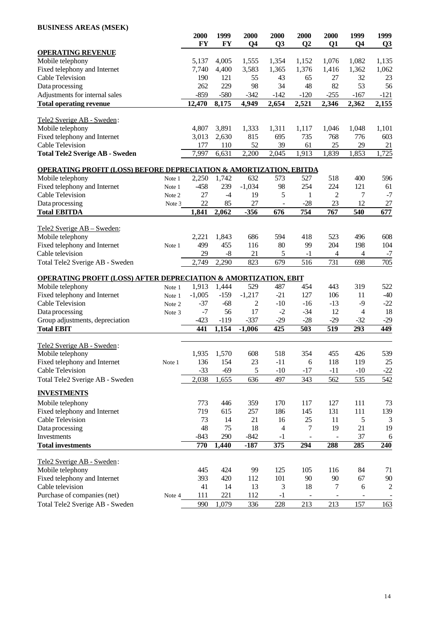# **BUSINESS AREAS (MSEK)**

| DUBINESS AREAS (MBER)                                                         |        |                   |            |                        |                        |          |                    |                        |                |
|-------------------------------------------------------------------------------|--------|-------------------|------------|------------------------|------------------------|----------|--------------------|------------------------|----------------|
|                                                                               |        | 2000<br><b>FY</b> | 1999<br>FY | 2000<br>Q <sub>4</sub> | 2000<br>Q <sub>3</sub> | 2000     | 2000               | 1999<br>Q <sub>4</sub> | 1999           |
| <b>OPERATING REVENUE</b>                                                      |        |                   |            |                        |                        | $\bf Q2$ | Q1                 |                        | Q <sub>3</sub> |
| Mobile telephony                                                              |        | 5,137             | 4,005      | 1,555                  | 1,354                  | 1,152    | 1,076              | 1,082                  | 1,135          |
| Fixed telephony and Internet                                                  |        | 7,740             | 4,400      | 3,583                  | 1,365                  | 1,376    | 1,416              | 1,362                  | 1,062          |
| Cable Television                                                              |        | 190               | 121        | 55                     | 43                     | 65       | 27                 | 32                     | 23             |
| Data processing                                                               |        | 262               | 229        | 98                     | 34                     | 48       | 82                 | 53                     | 56             |
| Adjustments for internal sales                                                |        | $-859$            | $-580$     | $-342$                 | $-142$                 | $-120$   | $-255$             | $-167$                 | $-121$         |
| <b>Total operating revenue</b>                                                |        | 12,470            | 8,175      | 4,949                  | 2,654                  | 2,521    | $\overline{2,346}$ | 2,362                  | 2,155          |
| Tele2 Sverige AB - Sweden:                                                    |        |                   |            |                        |                        |          |                    |                        |                |
| Mobile telephony                                                              |        | 4,807             | 3,891      | 1,333                  | 1,311                  | 1,117    | 1,046              | 1,048                  | 1,101          |
| Fixed telephony and Internet                                                  |        | 3,013             | 2,630      | 815                    | 695                    | 735      | 768                | 776                    | 603            |
| <b>Cable Television</b>                                                       |        | 177               | 110        | 52                     | 39                     | 61       | 25                 | 29                     | 21             |
| <b>Total Tele2 Sverige AB - Sweden</b>                                        |        | 7,997             | 6,631      | 2,200                  | 2,045                  | 1,913    | 1,839              | 1,853                  | 1,725          |
| <b>OPERATING PROFIT (LOSS) BEFORE DEPRECIATION &amp; AMORTIZATION, EBITDA</b> |        |                   |            |                        |                        |          |                    |                        |                |
| Mobile telephony                                                              | Note 1 | 2,250             | 1,742      | 632                    | 573                    | 527      | 518                | 400                    | 596            |
| Fixed telephony and Internet                                                  | Note 1 | $-458$            | 239        | $-1,034$               | 98                     | 254      | 224                | 121                    | 61             |
| <b>Cable Television</b>                                                       | Note 2 | 27                | $-4$       | 19                     | 5                      | 1        | 2                  | 7                      | $-7$           |
| Data processing                                                               | Note 3 | 22                | 85         | 27                     |                        | $-28$    | 23                 | 12                     | 27             |
| <b>Total EBITDA</b>                                                           |        | 1,841             | 2,062      | $-356$                 | 676                    | 754      | 767                | 540                    | 677            |
|                                                                               |        |                   |            |                        |                        |          |                    |                        |                |
| Tele2 Sverige AB - Sweden:                                                    |        |                   |            |                        |                        |          |                    |                        |                |
| Mobile telephony                                                              |        | 2,221             | 1,843      | 686                    | 594                    | 418      | 523                | 496                    | 608            |
| Fixed telephony and Internet                                                  | Note 1 | 499               | 455        | 116                    | 80                     | 99       | 204                | 198                    | 104            |
| Cable television                                                              |        | 29                | $-8$       | 21                     | 5                      | $-1$     | 4                  | 4                      | $-7$           |
| Total Tele2 Sverige AB - Sweden                                               |        | 2,749             | 2,290      | 823                    | 679                    | 516      | 731                | 698                    | 705            |
| <b>OPERATING PROFIT (LOSS) AFTER DEPRECIATION &amp; AMORTIZATION, EBIT</b>    |        |                   |            |                        |                        |          |                    |                        |                |
| Mobile telephony                                                              | Note 1 | 1,913             | 1,444      | 529                    | 487                    | 454      | 443                | 319                    | 522            |
| Fixed telephony and Internet                                                  | Note 1 | $-1,005$          | $-159$     | $-1,217$               | $-21$                  | 127      | 106                | 11                     | $-40$          |
| <b>Cable Television</b>                                                       | Note 2 | $-37$             | $-68$      | 2                      | $-10$                  | $-16$    | $-13$              | $-9$                   | $-22$          |
| Data processing                                                               | Note 3 | $-7$              | 56         | 17                     | $-2$                   | $-34$    | 12                 | 4                      | 18             |
| Group adjustments, depreciation                                               |        | $-423$            | $-119$     | $-337$                 | $-29$                  | $-28$    | $-29$              | $-32$                  | $-29$          |
| <b>Total EBIT</b>                                                             |        | 441               | 1,154      | $-1,006$               | 425                    | 503      | 519                | 293                    | 449            |
| Tele2 Sverige AB - Sweden:                                                    |        |                   |            |                        |                        |          |                    |                        |                |
| Mobile telephony                                                              |        | 1,935             | 1,570      | 608                    | 518                    | 354      | 455                | 426                    | 539            |
| Fixed telephony and Internet                                                  | Note 1 | 136               | 154        | 23                     | $-11$                  | 6        | 118                | 119                    | 25             |
| Cable Television                                                              |        | $-33$             | $-69$      | 5                      | $-10$                  | $-17$    | $-11$              | $-10$                  | $-22$          |
| Total Tele2 Sverige AB - Sweden                                               |        | 2,038             | 1,655      | 636                    | 497                    | 343      | 562                | 535                    | 542            |
| <b>INVESTMENTS</b>                                                            |        |                   |            |                        |                        |          |                    |                        |                |
| Mobile telephony                                                              |        | 773               | 446        | 359                    | 170                    | 117      | 127                | 111                    | 73             |
| Fixed telephony and Internet                                                  |        | 719               | 615        | 257                    | 186                    | 145      | 131                | 111                    | 139            |
| Cable Television                                                              |        | 73                | 14         | 21                     | 16                     | 25       | 11                 | 5                      | 3              |
| Data processing                                                               |        | 48                | 75         | 18                     | 4                      | 7        | 19                 | 21                     | 19             |
| Investments                                                                   |        | $-843$            | 290        | $-842$                 | $-1$                   |          |                    | 37                     | 6              |
| <b>Total investments</b>                                                      |        | 770               | 1,440      | $-187$                 | $\overline{375}$       | 294      | 288                | 285                    | 240            |
| Tele2 Sverige AB - Sweden:                                                    |        |                   |            |                        |                        |          |                    |                        |                |
| Mobile telephony                                                              |        | 445               | 424        | 99                     | 125                    | 105      | 116                | 84                     | 71             |
| Fixed telephony and Internet                                                  |        | 393               | 420        | 112                    | 101                    | 90       | $90\,$             | 67                     | 90             |
| Cable television                                                              |        | 41                | 14         | 13                     | 3                      | 18       | 7                  | 6                      | 2              |
| Purchase of companies (net)                                                   | Note 4 | 111               | 221        | 112                    | $-1$                   |          |                    |                        |                |
| Total Tele2 Sverige AB - Sweden                                               |        | 990               | 1,079      | 336                    | 228                    | 213      | 213                | 157                    | 163            |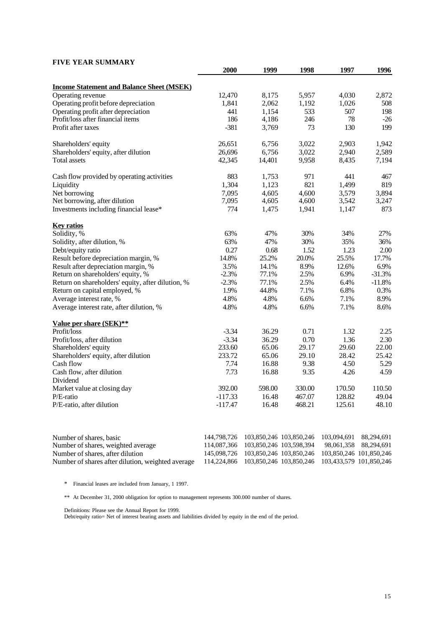# **FIVE YEAR SUMMARY**

|                                                   | 2000                   | 1999           | 1998             | 1997             | 1996     |
|---------------------------------------------------|------------------------|----------------|------------------|------------------|----------|
| <b>Income Statement and Balance Sheet (MSEK)</b>  |                        |                |                  |                  |          |
| Operating revenue                                 | 12,470                 | 8,175          | 5,957            | 4,030            | 2,872    |
| Operating profit before depreciation              | 1,841                  | 2,062          | 1,192            | 1,026            | 508      |
| Operating profit after depreciation               | 441                    | 1,154          | 533              | 507              | 198      |
| Profit/loss after financial items                 | 186                    | 4,186          | 246              | 78               | $-26$    |
| Profit after taxes                                | $-381$                 | 3,769          | 73               | 130              | 199      |
| Shareholders' equity                              | 26,651                 | 6,756          | 3,022            | 2,903            | 1,942    |
| Shareholders' equity, after dilution              | 26,696                 | 6,756          | 3,022            | 2,940            | 2,589    |
| Total assets                                      | 42,345                 | 14,401         | 9,958            | 8,435            | 7,194    |
| Cash flow provided by operating activities        | 883                    | 1,753          | 971              | 441              | 467      |
| Liquidity                                         | 1,304                  | 1,123          | 821              | 1,499            | 819      |
| Net borrowing                                     | 7,095                  | 4,605          | 4,600            | 3,579            | 3,894    |
| Net borrowing, after dilution                     | 7,095                  | 4,605          | 4,600            | 3,542            | 3,247    |
| Investments including financial lease*            | 774                    | 1,475          | 1,941            | 1,147            | 873      |
| <b>Key ratios</b>                                 |                        |                |                  |                  |          |
| Solidity, %                                       | 63%                    | 47%            | 30%              | 34%              | 27%      |
| Solidity, after dilution, %                       | 63%                    | 47%            | 30%              | 35%              | 36%      |
| Debt/equity ratio                                 | 0.27                   | 0.68           | 1.52             | 1.23             | 2.00     |
| Result before depreciation margin, %              | 14.8%                  | 25.2%          | 20.0%            | 25.5%            | 17.7%    |
| Result after depreciation margin, %               | 3.5%                   | 14.1%          | 8.9%             | 12.6%            | 6.9%     |
| Return on shareholders' equity, %                 | $-2.3%$                | 77.1%          | 2.5%             | 6.9%             | $-31.3%$ |
| Return on shareholders' equity, after dilution, % | $-2.3%$                | 77.1%          | 2.5%             | 6.4%             | $-11.8%$ |
| Return on capital employed, %                     | 1.9%                   | 44.8%          | 7.1%             | 6.8%             | 0.3%     |
| Average interest rate, %                          | 4.8%                   | 4.8%           | 6.6%             | 7.1%             | 8.9%     |
| Average interest rate, after dilution, %          | 4.8%                   | 4.8%           | 6.6%             | 7.1%             | 8.6%     |
| Value per share (SEK)**                           |                        |                |                  |                  |          |
| Profit/loss                                       | $-3.34$                | 36.29          | 0.71             | 1.32             | 2.25     |
| Profit/loss, after dilution                       | $-3.34$                | 36.29          | 0.70             | 1.36             | 2.30     |
| Shareholders' equity                              | 233.60                 | 65.06          | 29.17            | 29.60            | 22.00    |
| Shareholders' equity, after dilution              | 233.72                 | 65.06          | 29.10            | 28.42            | 25.42    |
| Cash flow                                         | 7.74                   | 16.88          | 9.38             | 4.50             | 5.29     |
| Cash flow, after dilution                         | 7.73                   | 16.88          | 9.35             | 4.26             | 4.59     |
| Dividend                                          |                        |                |                  |                  | 110.50   |
| Market value at closing day                       | 392.00                 | 598.00         | 330.00           | 170.50           | 49.04    |
| $P/E$ -ratio<br>P/E-ratio, after dilution         | $-117.33$<br>$-117.47$ | 16.48<br>16.48 | 467.07<br>468.21 | 128.82<br>125.61 | 48.10    |
|                                                   |                        |                |                  |                  |          |

| Number of shares, basic                           | 144,798,726 103,850,246 103,850,246 103,094,691 88,294,691  |  |
|---------------------------------------------------|-------------------------------------------------------------|--|
| Number of shares, weighted average                | 114,087,366 103,850,246 103,598,394 98,061,358 88,294,691   |  |
| Number of shares, after dilution                  | 145,098,726 103,850,246 103,850,246 103,850,246 101,850,246 |  |
| Number of shares after dilution, weighted average | 114,224,866 103,850,246 103,850,246 103,433,579 101,850,246 |  |

\* Financial leases are included from January, 1 1997.

\*\* At December 31, 2000 obligation for option to management represents 300.000 number of shares.

Definitions: Please see the Annual Report for 1999.

Debt/equity ratio= Net of interest bearing assets and liabilities divided by equity in the end of the period.